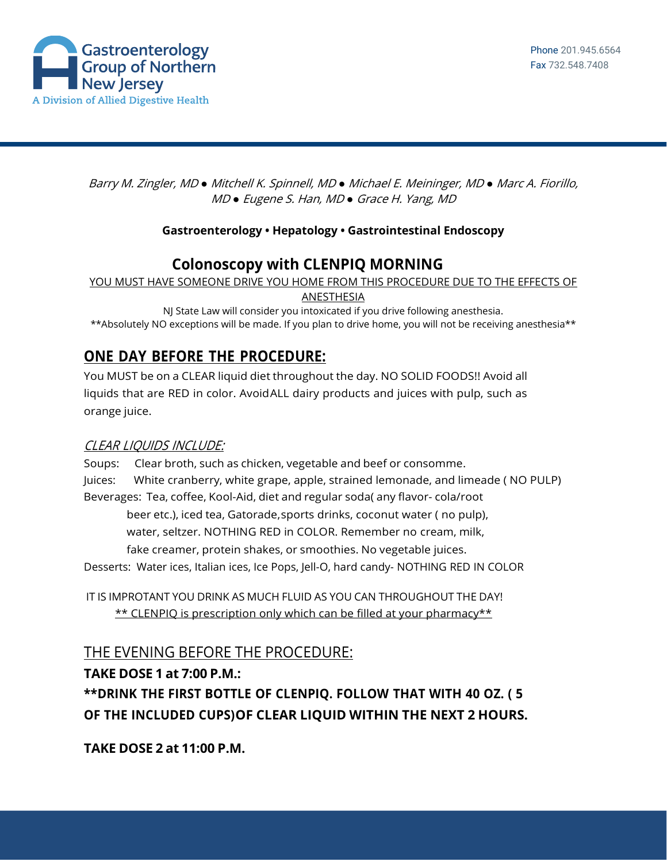

Barry M. Zingler, MD *●* Mitchell K. Spinnell, MD *●* Michael E. Meininger, MD *●* Marc A. Fiorillo, MD *●* Eugene S. Han, MD *●* Grace H. Yang, MD

#### **Gastroenterology • Hepatology • Gastrointestinal Endoscopy**

## **Colonoscopy with CLENPIQ MORNING**

YOU MUST HAVE SOMEONE DRIVE YOU HOME FROM THIS PROCEDURE DUE TO THE EFFECTS OF

ANESTHESIA

NJ State Law will consider you intoxicated if you drive following anesthesia. \*\*Absolutely NO exceptions will be made. If you plan to drive home, you will not be receiving anesthesia\*\*

# **ONE DAY BEFORE THE PROCEDURE:**

You MUST be on a CLEAR liquid diet throughout the day. NO SOLID FOODS!! Avoid all liquids that are RED in color. AvoidALL dairy products and juices with pulp, such as orange juice.

### CLEAR LIQUIDS INCLUDE:

Soups: Clear broth, such as chicken, vegetable and beef or consomme. Juices: White cranberry, white grape, apple, strained lemonade, and limeade ( NO PULP) Beverages: Tea, coffee, Kool-Aid, diet and regular soda( any flavor- cola/root beer etc.), iced tea, Gatorade,sports drinks, coconut water ( no pulp), water, seltzer. NOTHING RED in COLOR. Remember no cream, milk, fake creamer, protein shakes, or smoothies. No vegetable juices. Desserts: Water ices, Italian ices, Ice Pops, Jell-O, hard candy- NOTHING RED IN COLOR

IT IS IMPROTANT YOU DRINK AS MUCH FLUID AS YOU CAN THROUGHOUT THE DAY! \*\* CLENPIQ is prescription only which can be filled at your pharmacy\*\*

THE EVENING BEFORE THE PROCEDURE:

### **TAKE DOSE 1 at 7:00 P.M.:**

**\*\*DRINK THE FIRST BOTTLE OF CLENPIQ. FOLLOW THAT WITH 40 OZ. ( 5 OF THE INCLUDED CUPS)OF CLEAR LIQUID WITHIN THE NEXT 2 HOURS.**

**TAKE DOSE 2 at 11:00 P.M.**